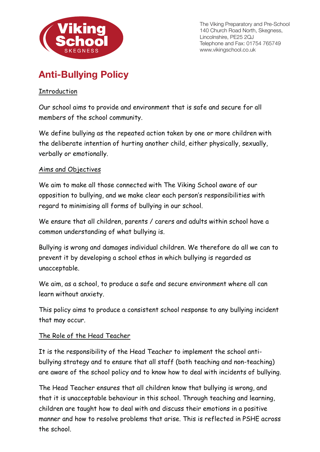

The Viking Preparatory and Pre-School 140 Church Road North, Skegness, Lincolnshire, PE25 2QJ Telephone and Fax: 01754 765749 www.vikingschool.co.uk

# **Anti-Bullying Policy**

#### Introduction

Our school aims to provide and environment that is safe and secure for all members of the school community.

We define bullying as the repeated action taken by one or more children with the deliberate intention of hurting another child, either physically, sexually, verbally or emotionally.

#### Aims and Objectives

We aim to make all those connected with The Viking School aware of our opposition to bullying, and we make clear each person's responsibilities with regard to minimising all forms of bullying in our school.

We ensure that all children, parents / carers and adults within school have a common understanding of what bullying is.

Bullying is wrong and damages individual children. We therefore do all we can to prevent it by developing a school ethos in which bullying is regarded as unacceptable.

We aim, as a school, to produce a safe and secure environment where all can learn without anxiety.

This policy aims to produce a consistent school response to any bullying incident that may occur.

## The Role of the Head Teacher

It is the responsibility of the Head Teacher to implement the school antibullying strategy and to ensure that all staff (both teaching and non-teaching) are aware of the school policy and to know how to deal with incidents of bullying.

The Head Teacher ensures that all children know that bullying is wrong, and that it is unacceptable behaviour in this school. Through teaching and learning, children are taught how to deal with and discuss their emotions in a positive manner and how to resolve problems that arise. This is reflected in PSHE across the school.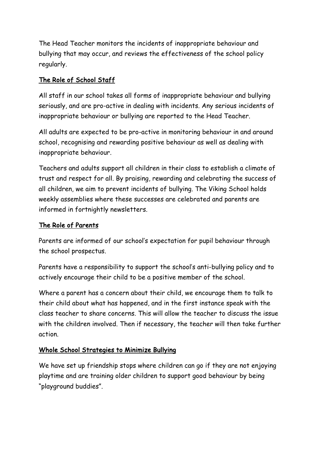The Head Teacher monitors the incidents of inappropriate behaviour and bullying that may occur, and reviews the effectiveness of the school policy regularly.

# The Role of School Staff

All staff in our school takes all forms of inappropriate behaviour and bullying seriously, and are pro-active in dealing with incidents. Any serious incidents of inappropriate behaviour or bullying are reported to the Head Teacher.

All adults are expected to be pro-active in monitoring behaviour in and around school, recognising and rewarding positive behaviour as well as dealing with inappropriate behaviour.

Teachers and adults support all children in their class to establish a climate of trust and respect for all. By praising, rewarding and celebrating the success of all children, we aim to prevent incidents of bullying. The Viking School holds weekly assemblies where these successes are celebrated and parents are informed in fortnightly newsletters.

## The Role of Parents

Parents are informed of our school's expectation for pupil behaviour through the school prospectus.

Parents have a responsibility to support the school's anti-bullying policy and to actively encourage their child to be a positive member of the school.

Where a parent has a concern about their child, we encourage them to talk to their child about what has happened, and in the first instance speak with the class teacher to share concerns. This will allow the teacher to discuss the issue with the children involved. Then if necessary, the teacher will then take further action.

## Whole School Strategies to Minimize Bullying

We have set up friendship stops where children can go if they are not enjoying playtime and are training older children to support good behaviour by being "playground buddies".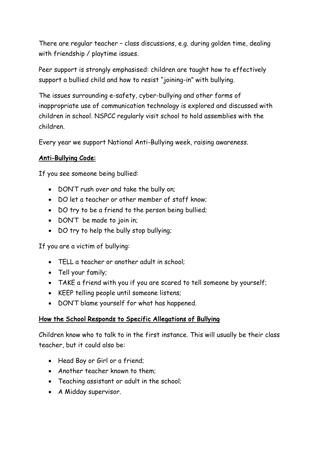There are regular teacher – class discussions, e.g. during golden time, dealing with friendship / playtime issues.

Peer support is strongly emphasised: children are taught how to effectively support a bullied child and how to resist "joining-in" with bullying.

The issues surrounding e-safety, cyber-bullying and other forms of inappropriate use of communication technology is explored and discussed with children in school. NSPCC regularly visit school to hold assemblies with the children.

Every year we support National Anti-Bullying week, raising awareness.

## Anti-Bullying Code:

If you see someone being bullied:

- DON'T rush over and take the bully on;
- DO let a teacher or other member of staff know;
- DO try to be a friend to the person being bullied;
- DON'T be made to join in;
- DO try to help the bully stop bullying;

If you are a victim of bullying:

- TELL a teacher or another adult in school;
- Tell your family;
- TAKE a friend with you if you are scared to tell someone by yourself;
- KEEP telling people until someone listens;
- DON'T blame yourself for what has happened.

#### How the School Responds to Specific Allegations of Bullying

Children know who to talk to in the first instance. This will usually be their class teacher, but it could also be:

- Head Boy or Girl or a friend;
- Another teacher known to them;
- Teaching assistant or adult in the school;
- A Midday supervisor.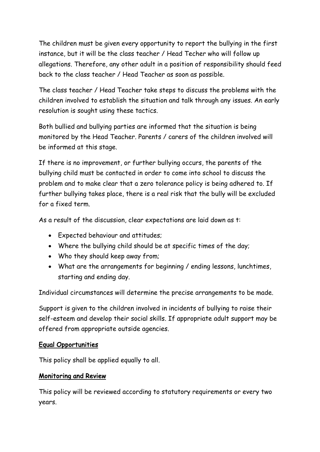The children must be given every opportunity to report the bullying in the first instance, but it will be the class teacher / Head Techer who will follow up allegations. Therefore, any other adult in a position of responsibility should feed back to the class teacher / Head Teacher as soon as possible.

The class teacher / Head Teacher take steps to discuss the problems with the children involved to establish the situation and talk through any issues. An early resolution is sought using these tactics.

Both bullied and bullying parties are informed that the situation is being monitored by the Head Teacher. Parents / carers of the children involved will be informed at this stage.

If there is no improvement, or further bullying occurs, the parents of the bullying child must be contacted in order to come into school to discuss the problem and to make clear that a zero tolerance policy is being adhered to. If further bullying takes place, there is a real risk that the bully will be excluded for a fixed term.

As a result of the discussion, clear expectations are laid down as t:

- Expected behaviour and attitudes;
- Where the bullying child should be at specific times of the day;
- Who they should keep away from;
- What are the arrangements for beginning / ending lessons, lunchtimes, starting and ending day.

Individual circumstances will determine the precise arrangements to be made.

Support is given to the children involved in incidents of bullying to raise their self-esteem and develop their social skills. If appropriate adult support may be offered from appropriate outside agencies.

#### Equal Opportunities

This policy shall be applied equally to all.

## Monitoring and Review

This policy will be reviewed according to statutory requirements or every two years.